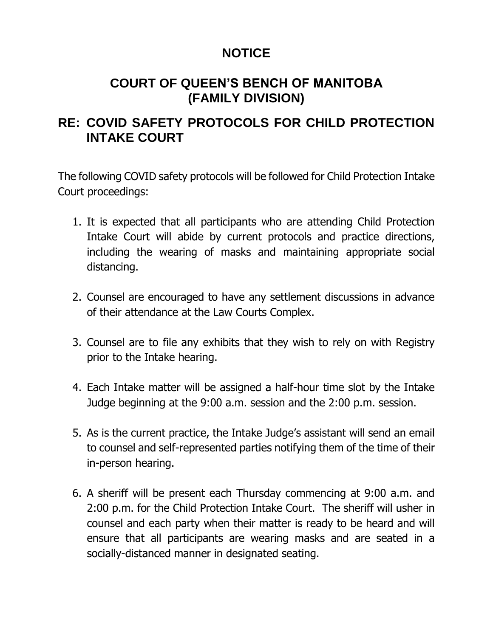# **NOTICE**

# **COURT OF QUEEN'S BENCH OF MANITOBA (FAMILY DIVISION)**

## **RE: COVID SAFETY PROTOCOLS FOR CHILD PROTECTION INTAKE COURT**

The following COVID safety protocols will be followed for Child Protection Intake Court proceedings:

- 1. It is expected that all participants who are attending Child Protection Intake Court will abide by current protocols and practice directions, including the wearing of masks and maintaining appropriate social distancing.
- 2. Counsel are encouraged to have any settlement discussions in advance of their attendance at the Law Courts Complex.
- 3. Counsel are to file any exhibits that they wish to rely on with Registry prior to the Intake hearing.
- 4. Each Intake matter will be assigned a half-hour time slot by the Intake Judge beginning at the 9:00 a.m. session and the 2:00 p.m. session.
- 5. As is the current practice, the Intake Judge's assistant will send an email to counsel and self-represented parties notifying them of the time of their in-person hearing.
- 6. A sheriff will be present each Thursday commencing at 9:00 a.m. and 2:00 p.m. for the Child Protection Intake Court. The sheriff will usher in counsel and each party when their matter is ready to be heard and will ensure that all participants are wearing masks and are seated in a socially-distanced manner in designated seating.